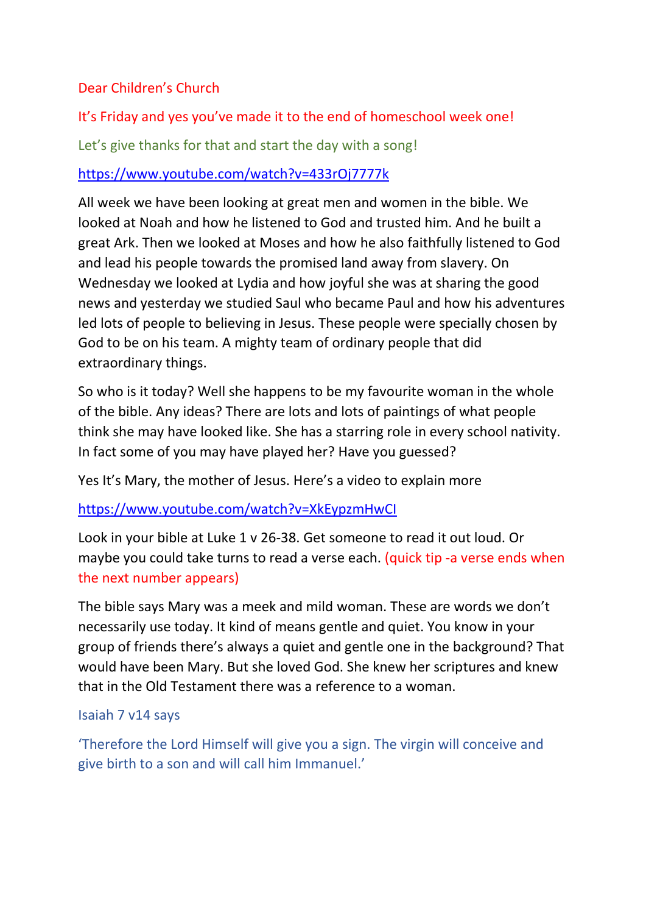# Dear Children's Church

# It's Friday and yes you've made it to the end of homeschool week one!

Let's give thanks for that and start the day with a song!

# <https://www.youtube.com/watch?v=433rOj7777k>

All week we have been looking at great men and women in the bible. We looked at Noah and how he listened to God and trusted him. And he built a great Ark. Then we looked at Moses and how he also faithfully listened to God and lead his people towards the promised land away from slavery. On Wednesday we looked at Lydia and how joyful she was at sharing the good news and yesterday we studied Saul who became Paul and how his adventures led lots of people to believing in Jesus. These people were specially chosen by God to be on his team. A mighty team of ordinary people that did extraordinary things.

So who is it today? Well she happens to be my favourite woman in the whole of the bible. Any ideas? There are lots and lots of paintings of what people think she may have looked like. She has a starring role in every school nativity. In fact some of you may have played her? Have you guessed?

Yes It's Mary, the mother of Jesus. Here's a video to explain more

# <https://www.youtube.com/watch?v=XkEypzmHwCI>

Look in your bible at Luke 1 v 26-38. Get someone to read it out loud. Or maybe you could take turns to read a verse each. (quick tip -a verse ends when the next number appears)

The bible says Mary was a meek and mild woman. These are words we don't necessarily use today. It kind of means gentle and quiet. You know in your group of friends there's always a quiet and gentle one in the background? That would have been Mary. But she loved God. She knew her scriptures and knew that in the Old Testament there was a reference to a woman.

#### Isaiah 7 v14 says

'Therefore the Lord Himself will give you a sign. The virgin will conceive and give birth to a son and will call him Immanuel.'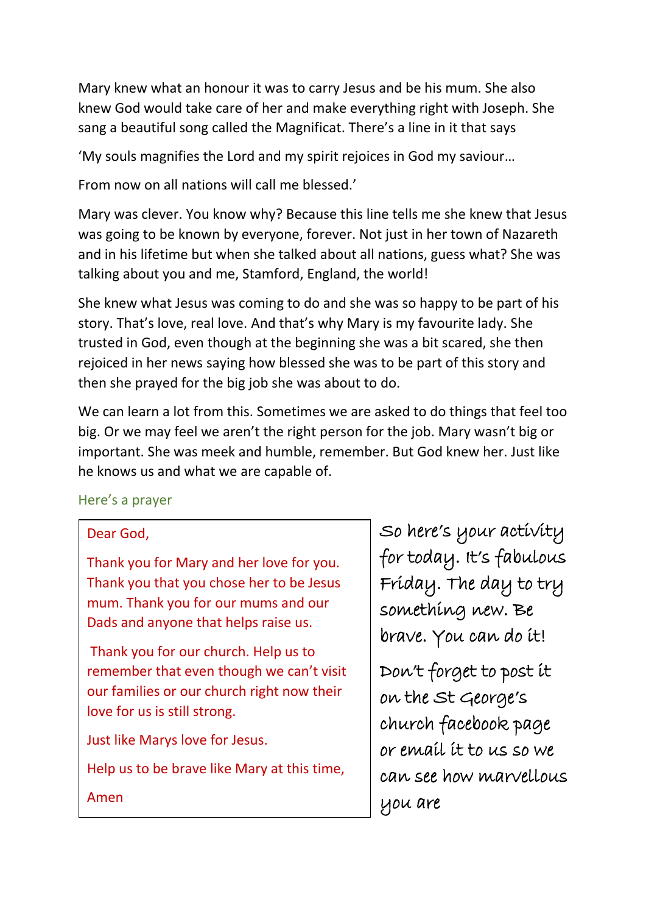Mary knew what an honour it was to carry Jesus and be his mum. She also knew God would take care of her and make everything right with Joseph. She sang a beautiful song called the Magnificat. There's a line in it that says

'My souls magnifies the Lord and my spirit rejoices in God my saviour…

From now on all nations will call me blessed.'

Mary was clever. You know why? Because this line tells me she knew that Jesus was going to be known by everyone, forever. Not just in her town of Nazareth and in his lifetime but when she talked about all nations, guess what? She was talking about you and me, Stamford, England, the world!

She knew what Jesus was coming to do and she was so happy to be part of his story. That's love, real love. And that's why Mary is my favourite lady. She trusted in God, even though at the beginning she was a bit scared, she then rejoiced in her news saying how blessed she was to be part of this story and then she prayed for the big job she was about to do.

We can learn a lot from this. Sometimes we are asked to do things that feel too big. Or we may feel we aren't the right person for the job. Mary wasn't big or important. She was meek and humble, remember. But God knew her. Just like he knows us and what we are capable of.

# Here's a prayer

# Dear God,

Thank you for Mary and her love for you. Thank you that you chose her to be Jesus mum. Thank you for our mums and our Dads and anyone that helps raise us.

Thank you for our church. Help us to remember that even though we can't visit our families or our church right now their love for us is still strong.

Just like Marys love for Jesus.

Help us to be brave like Mary at this time,

So here's your activity for today. It's fabulous Friday. The day to try something new. Be brave. You can do it!

Don't forget to post it on the St George's church facebook page or email it to us so we can see how marvellous you are

Amen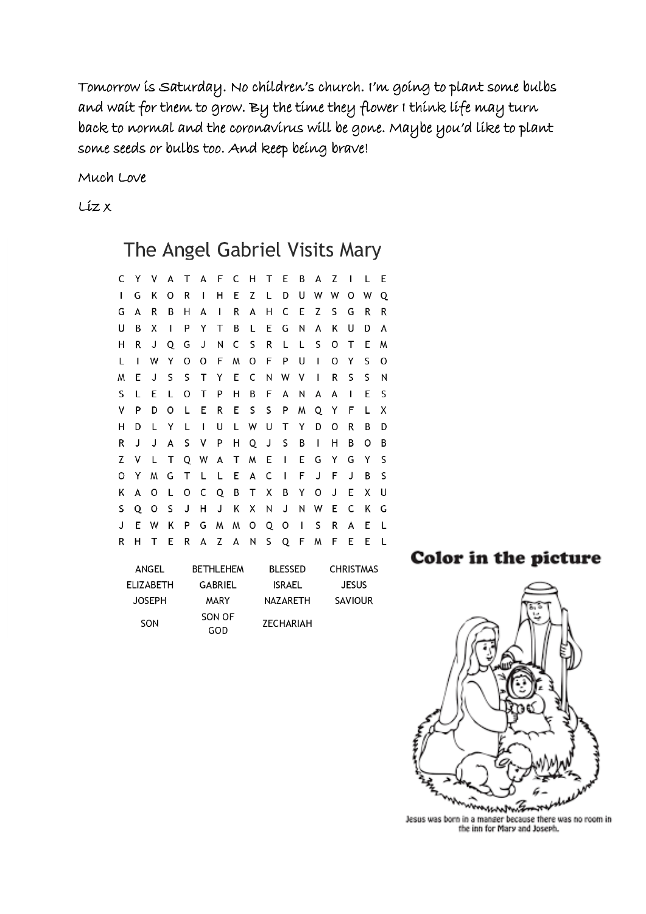Tomorrow is Saturday. No children's church. I'm going to plant some bulbs and wait for them to grow. By the time they flower I think life may turn back to normal and the coronavirus will be gone. Maybe you'd like to plant some seeds or bulbs too. And keep being brave!

Much Love

Liz x

# The Angel Gabriel Visits Mary

| С | Y | ۷ | A | T. | A            | F C          |    | - H | т | E            | В            | А | z | $\perp$ | L | Е |
|---|---|---|---|----|--------------|--------------|----|-----|---|--------------|--------------|---|---|---------|---|---|
| L | G | Κ | 0 | R  | T            | н            | Е  | Z   | Г | D            | U            | W | w | 0       | W | Q |
| G | А | R | В | н  | А            | $\mathbf{I}$ | R  | А   | н | C            | E            | Z | S | G       | R | R |
| U | В | х | I | P  | Y            | Τ            | B  | L   | Е | G            | Ν            | А | Κ | U       | D | А |
| н | R | J | Q | G  | J            | Ν            | C  | S   | R | L            | L            | S | O | т       | Ε | M |
| L | I | W | Y | O  | o            | F            | M  | O   | F | P            | U            | I | O | Y       | S | o |
| W | Ε | J | S | S  | т            | Υ            | E. | C   | И | W            | $\mathsf{V}$ | L | R | S       | S | N |
| S | L | Ε | L | O  | т            | P            | н  | В   | F | A            | N            | А | А | I       | E | S |
| ۷ | P | D | 0 | L  | Е            | R            | Е  | S   | S | P            | M            | Q | Y | F       | L | x |
| н | D | L | Y | L  | I            | U            | L  | W   | U | т            | Y            | D | 0 | R       | В | D |
| R | J | J | А | S  | $\mathsf{V}$ | P            | н  | Q   | J | S            | В            | I | н | В       | Ο | В |
| Z | ۷ | L | Т |    | Q W          | A            | т  | M   | Ε | $\mathbf{I}$ | Ε            | G | Y | G       | Y | S |
| о | Y | M | G | т  | L            | L            | Е  | А   | C | I            | F            | J | F | J       | В | S |
| Κ | А | 0 | L | O  | C            | Q            | В  | Τ   | Х | В            | Υ            | O | J | E       | Χ | U |
| S | Q | 0 | S | J  | н            | J            | Κ  | Χ   | Ν | J            | И            | W | Е | C       | Κ | G |
| J | E | W | κ | P  | G            | M            | W  | 0   | Q | O            | T            | S | R | А       | E | L |
| R | н | т | E | R  | А            | Z            | А  | N   | S | Q            | F            | M | F | E       | Ε | L |
|   |   |   |   |    |              |              |    |     |   |              |              |   |   |         |   |   |

| ANGEL         | <b>BETHLEHEM</b> | <b>BLESSED</b> | <b>CHRISTMAS</b> |
|---------------|------------------|----------------|------------------|
| ELIZABETH     | GABRIEL          | ISRAEL         | <b>JESUS</b>     |
| <b>JOSEPH</b> | MARY             | NAZARETH       | <b>SAVIOUR</b>   |
| SON           | SON OF<br>GOD    | ZECHARIAH      |                  |

Color in the picture



Jesus was born in a manger because there was no room in the inn for Mary and Joseph.